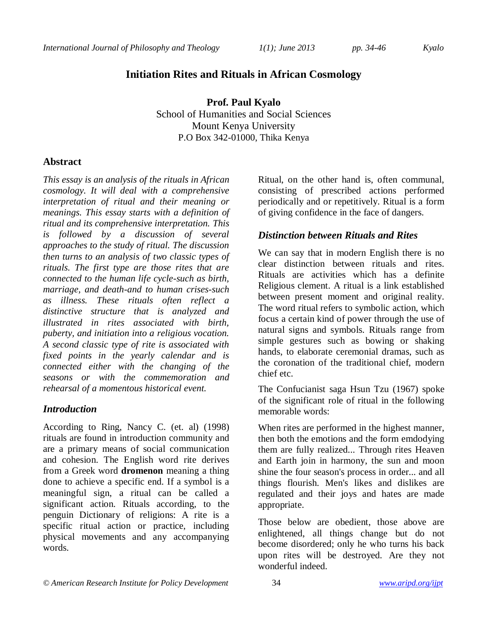# **Initiation Rites and Rituals in African Cosmology**

**Prof. Paul Kyalo** School of Humanities and Social Sciences Mount Kenya University P.O Box 342-01000, Thika Kenya

### **Abstract**

*This essay is an analysis of the rituals in African cosmology. It will deal with a comprehensive interpretation of ritual and their meaning or meanings. This essay starts with a definition of ritual and its comprehensive interpretation. This is followed by a discussion of several approaches to the study of ritual. The discussion then turns to an analysis of two classic types of rituals. The first type are those rites that are connected to the human life cycle-such as birth, marriage, and death-and to human crises-such as illness. These rituals often reflect a distinctive structure that is analyzed and illustrated in rites associated with birth, puberty, and initiation into a religious vocation. A second classic type of rite is associated with fixed points in the yearly calendar and is connected either with the changing of the seasons or with the commemoration and rehearsal of a momentous historical event.* 

### *Introduction*

According to Ring, Nancy C. (et. al) (1998) rituals are found in introduction community and are a primary means of social communication and cohesion. The English word rite derives from a Greek word **dromenon** meaning a thing done to achieve a specific end. If a symbol is a meaningful sign, a ritual can be called a significant action. Rituals according, to the penguin Dictionary of religions: A rite is a specific ritual action or practice, including physical movements and any accompanying words.

Ritual, on the other hand is, often communal, consisting of prescribed actions performed periodically and or repetitively. Ritual is a form of giving confidence in the face of dangers.

# *Distinction between Rituals and Rites*

We can say that in modern English there is no clear distinction between rituals and rites. Rituals are activities which has a definite Religious clement. A ritual is a link established between present moment and original reality. The word ritual refers to symbolic action, which focus a certain kind of power through the use of natural signs and symbols. Rituals range from simple gestures such as bowing or shaking hands, to elaborate ceremonial dramas, such as the coronation of the traditional chief, modern chief etc.

The Confucianist saga Hsun Tzu (1967) spoke of the significant role of ritual in the following memorable words:

When rites are performed in the highest manner, then both the emotions and the form emdodying them are fully realized... Through rites Heaven and Earth join in harmony, the sun and moon shine the four season's process in order... and all things flourish. Men's likes and dislikes are regulated and their joys and hates are made appropriate.

Those below are obedient, those above are enlightened, all things change but do not become disordered; only he who turns his back upon rites will be destroyed. Are they not wonderful indeed.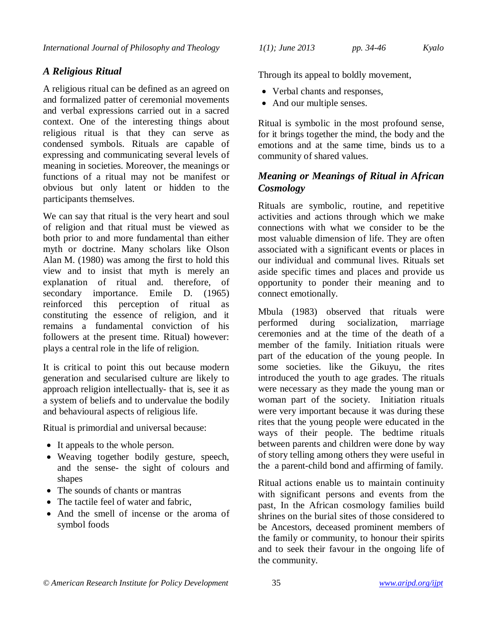# *A Religious Ritual*

A religious ritual can be defined as an agreed on and formalized patter of ceremonial movements and verbal expressions carried out in a sacred context. One of the interesting things about religious ritual is that they can serve as condensed symbols. Rituals are capable of expressing and communicating several levels of meaning in societies. Moreover, the meanings or functions of a ritual may not be manifest or obvious but only latent or hidden to the participants themselves.

We can say that ritual is the very heart and soul of religion and that ritual must be viewed as both prior to and more fundamental than either myth or doctrine. Many scholars like Olson Alan M. (1980) was among the first to hold this view and to insist that myth is merely an explanation of ritual and. therefore, of secondary importance. Emile D. (1965) reinforced this perception of ritual as constituting the essence of religion, and it remains a fundamental conviction of his followers at the present time. Ritual) however: plays a central role in the life of religion.

It is critical to point this out because modern generation and secularised culture are likely to approach religion intellectually- that is, see it as a system of beliefs and to undervalue the bodily and behavioural aspects of religious life.

Ritual is primordial and universal because:

- It appeals to the whole person.
- Weaving together bodily gesture, speech, and the sense- the sight of colours and shapes
- The sounds of chants or mantras
- The tactile feel of water and fabric.
- And the smell of incense or the aroma of symbol foods

Through its appeal to boldly movement,

- Verbal chants and responses,
- And our multiple senses.

Ritual is symbolic in the most profound sense, for it brings together the mind, the body and the emotions and at the same time, binds us to a community of shared values.

## *Meaning or Meanings of Ritual in African Cosmology*

Rituals are symbolic, routine, and repetitive activities and actions through which we make connections with what we consider to be the most valuable dimension of life. They are often associated with a significant events or places in our individual and communal lives. Rituals set aside specific times and places and provide us opportunity to ponder their meaning and to connect emotionally.

Mbula (1983) observed that rituals were performed during socialization, marriage ceremonies and at the time of the death of a member of the family. Initiation rituals were part of the education of the young people. In some societies. like the Gikuyu, the rites introduced the youth to age grades. The rituals were necessary as they made the young man or woman part of the society. Initiation rituals were very important because it was during these rites that the young people were educated in the ways of their people. The bedtime rituals between parents and children were done by way of story telling among others they were useful in the a parent-child bond and affirming of family.

Ritual actions enable us to maintain continuity with significant persons and events from the past, In the African cosmology families build shrines on the burial sites of those considered to be Ancestors, deceased prominent members of the family or community, to honour their spirits and to seek their favour in the ongoing life of the community.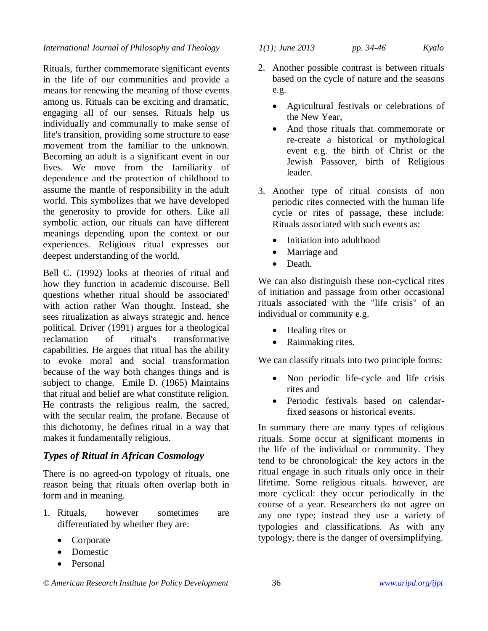#### *International Journal of Philosophy and Theology 1(1); June 2013 pp. 34-46 Kyalo*

Rituals, further commemorate significant events in the life of our communities and provide a means for renewing the meaning of those events among us. Rituals can be exciting and dramatic, engaging all of our senses. Rituals help us individually and communally to make sense of life's transition, providing some structure to ease movement from the familiar to the unknown. Becoming an adult is a significant event in our lives. We move from the familiarity of dependence and the protection of childhood to assume the mantle of responsibility in the adult world. This symbolizes that we have developed the generosity to provide for others. Like all symbolic action, our rituals can have different meanings depending upon the context or our experiences. Religious ritual expresses our deepest understanding of the world.

Bell C. (1992) looks at theories of ritual and how they function in academic discourse. Bell questions whether ritual should be associated' with action rather Wan thought. Instead, she sees ritualization as always strategic and. hence political. Driver (1991) argues for a theological reclamation of ritual's transformative capabilities. He argues that ritual has the ability to evoke moral and social transformation because of the way both changes things and is subject to change. Emile D. (1965) Maintains that ritual and belief are what constitute religion. He contrasts the religious realm, the sacred, with the secular realm, the profane. Because of this dichotomy, he defines ritual in a way that makes it fundamentally religious.

#### *Types of Ritual in African Cosmology*

There is no agreed-on typology of rituals, one reason being that rituals often overlap both in form and in meaning.

- 1. Rituals, however sometimes are differentiated by whether they are:
	- Corporate
	- Domestic
	- Personal

- 2. Another possible contrast is between rituals based on the cycle of nature and the seasons e.g.
	- Agricultural festivals or celebrations of the New Year,
	- And those rituals that commemorate or re-create a historical or mythological event e.g. the birth of Christ or the Jewish Passover, birth of Religious leader.
- 3. Another type of ritual consists of non periodic rites connected with the human life cycle or rites of passage, these include: Rituals associated with such events as:
	- Initiation into adulthood
	- Marriage and
	- Death.

We can also distinguish these non-cyclical rites of initiation and passage from other occasional rituals associated with the "life crisis" of an individual or community e.g.

- Healing rites or
- Rainmaking rites.

We can classify rituals into two principle forms:

- Non periodic life-cycle and life crisis rites and
- Periodic festivals based on calendarfixed seasons or historical events.

In summary there are many types of religious rituals. Some occur at significant moments in the life of the individual or community. They tend to be chronological: the key actors in the ritual engage in such rituals only once in their lifetime. Some religious rituals. however, are more cyclical: they occur periodically in the course of a year. Researchers do not agree on any one type; instead they use a variety of typologies and classifications. As with any typology, there is the danger of oversimplifying.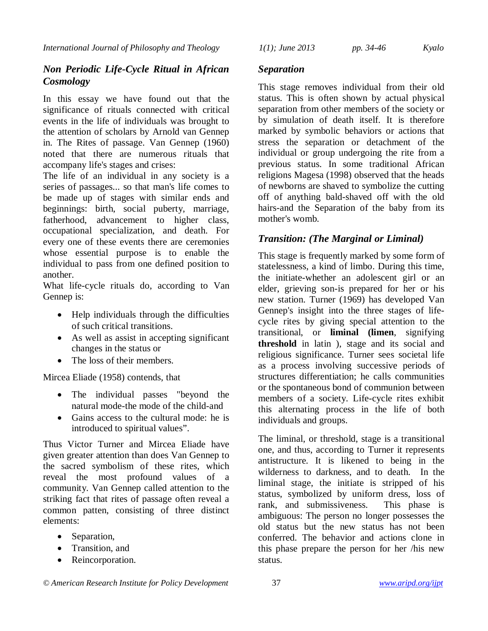# *Non Periodic Life-Cycle Ritual in African Cosmology*

In this essay we have found out that the significance of rituals connected with critical events in the life of individuals was brought to the attention of scholars by Arnold van Gennep in. The Rites of passage. Van Gennep (1960) noted that there are numerous rituals that accompany life's stages and crises:

The life of an individual in any society is a series of passages... so that man's life comes to be made up of stages with similar ends and beginnings: birth, social puberty, marriage, fatherhood, advancement to higher class, occupational specialization, and death. For every one of these events there are ceremonies whose essential purpose is to enable the individual to pass from one defined position to another.

What life-cycle rituals do, according to Van Gennep is:

- Help individuals through the difficulties of such critical transitions.
- As well as assist in accepting significant changes in the status or
- The loss of their members.

Mircea Eliade (1958) contends, that

- The individual passes "beyond the natural mode-the mode of the child-and
- Gains access to the cultural mode: he is introduced to spiritual values".

Thus Victor Turner and Mircea Eliade have given greater attention than does Van Gennep to the sacred symbolism of these rites, which reveal the most profound values of a community. Van Gennep called attention to the striking fact that rites of passage often reveal a common patten, consisting of three distinct elements:

- Separation,
- Transition, and
- Reincorporation.

# *Separation*

This stage removes individual from their old status. This is often shown by actual physical separation from other members of the society or by simulation of death itself. It is therefore marked by symbolic behaviors or actions that stress the separation or detachment of the individual or group undergoing the rite from a previous status. In some traditional African religions Magesa (1998) observed that the heads of newborns are shaved to symbolize the cutting off of anything bald-shaved off with the old hairs-and the Separation of the baby from its mother's womb.

# *Transition: (The Marginal or Liminal)*

This stage is frequently marked by some form of statelessness, a kind of limbo. During this time, the initiate-whether an adolescent girl or an elder, grieving son-is prepared for her or his new station. Turner (1969) has developed Van Gennep's insight into the three stages of lifecycle rites by giving special attention to the transitional, or **liminal (limen**, signifying **threshold** in latin ), stage and its social and religious significance. Turner sees societal life as a process involving successive periods of structures differentiation; he calls communities or the spontaneous bond of communion between members of a society. Life-cycle rites exhibit this alternating process in the life of both individuals and groups.

The liminal, or threshold, stage is a transitional one, and thus, according to Turner it represents antistructure. It is likened to being in the wilderness to darkness, and to death. In the liminal stage, the initiate is stripped of his status, symbolized by uniform dress, loss of rank, and submissiveness. This phase is ambiguous: The person no longer possesses the old status but the new status has not been conferred. The behavior and actions clone in this phase prepare the person for her /his new status.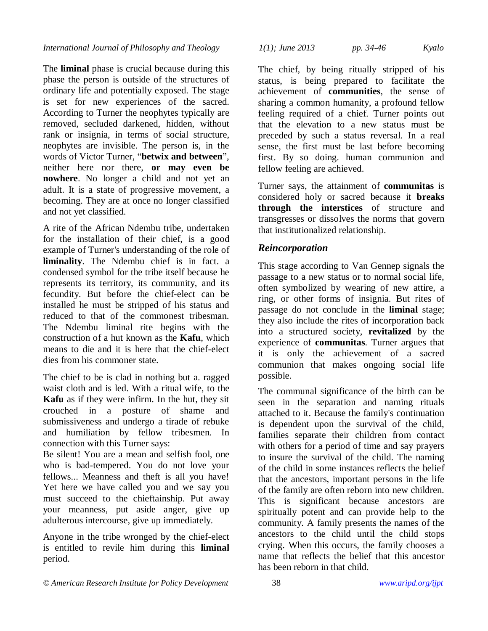The **liminal** phase is crucial because during this phase the person is outside of the structures of ordinary life and potentially exposed. The stage is set for new experiences of the sacred. According to Turner the neophytes typically are removed, secluded darkened, hidden, without rank or insignia, in terms of social structure, neophytes are invisible. The person is, in the words of Victor Turner, "**betwix and between**", neither here nor there, **or may even be nowhere**. No longer a child and not yet an adult. It is a state of progressive movement, a becoming. They are at once no longer classified and not yet classified.

A rite of the African Ndembu tribe, undertaken for the installation of their chief, is a good example of Turner's understanding of the role of **liminality**. The Ndembu chief is in fact. a condensed symbol for the tribe itself because he represents its territory, its community, and its fecundity. But before the chief-elect can be installed he must be stripped of his status and reduced to that of the commonest tribesman. The Ndembu liminal rite begins with the construction of a hut known as the **Kafu**, which means to die and it is here that the chief-elect dies from his commoner state.

The chief to be is clad in nothing but a. ragged waist cloth and is led. With a ritual wife, to the **Kafu** as if they were infirm. In the hut, they sit crouched in a posture of shame and submissiveness and undergo a tirade of rebuke and humiliation by fellow tribesmen. In connection with this Turner says:

Be silent! You are a mean and selfish fool, one who is bad-tempered. You do not love your fellows... Meanness and theft is all you have! Yet here we have called you and we say you must succeed to the chieftainship. Put away your meanness, put aside anger, give up adulterous intercourse, give up immediately.

Anyone in the tribe wronged by the chief-elect is entitled to revile him during this **liminal** period.

*International Journal of Philosophy and Theology 1(1); June 2013 pp. 34-46 Kyalo*

The chief, by being ritually stripped of his status, is being prepared to facilitate the achievement of **communities**, the sense of sharing a common humanity, a profound fellow feeling required of a chief. Turner points out that the elevation to a new status must be preceded by such a status reversal. In a real sense, the first must be last before becoming first. By so doing. human communion and fellow feeling are achieved.

Turner says, the attainment of **communitas** is considered holy or sacred because it **breaks through the interstices** of structure and transgresses or dissolves the norms that govern that institutionalized relationship.

# *Reincorporation*

This stage according to Van Gennep signals the passage to a new status or to normal social life, often symbolized by wearing of new attire, a ring, or other forms of insignia. But rites of passage do not conclude in the **liminal** stage; they also include the rites of incorporation back into a structured society, **revitalized** by the experience of **communitas**. Turner argues that it is only the achievement of a sacred communion that makes ongoing social life possible.

The communal significance of the birth can be seen in the separation and naming rituals attached to it. Because the family's continuation is dependent upon the survival of the child, families separate their children from contact with others for a period of time and say prayers to insure the survival of the child. The naming of the child in some instances reflects the belief that the ancestors, important persons in the life of the family are often reborn into new children. This is significant because ancestors are spiritually potent and can provide help to the community. A family presents the names of the ancestors to the child until the child stops crying. When this occurs, the family chooses a name that reflects the belief that this ancestor has been reborn in that child.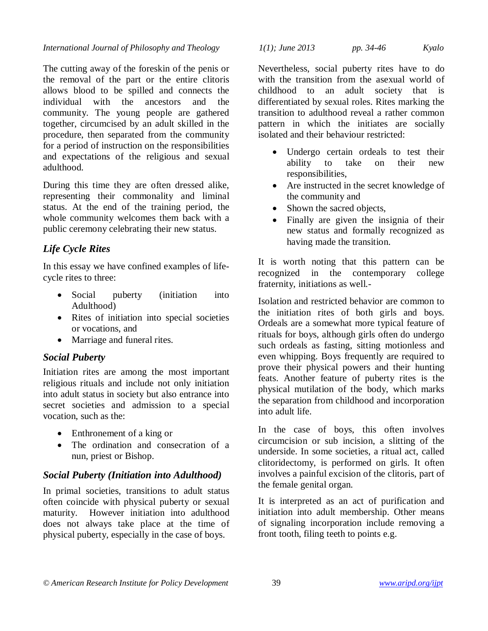The cutting away of the foreskin of the penis or the removal of the part or the entire clitoris allows blood to be spilled and connects the individual with the ancestors and the community. The young people are gathered together, circumcised by an adult skilled in the procedure, then separated from the community for a period of instruction on the responsibilities and expectations of the religious and sexual adulthood.

During this time they are often dressed alike, representing their commonality and liminal status. At the end of the training period, the whole community welcomes them back with a public ceremony celebrating their new status.

# *Life Cycle Rites*

In this essay we have confined examples of lifecycle rites to three:

- Social puberty (initiation into Adulthood)
- Rites of initiation into special societies or vocations, and
- Marriage and funeral rites.

# *Social Puberty*

Initiation rites are among the most important religious rituals and include not only initiation into adult status in society but also entrance into secret societies and admission to a special vocation, such as the:

- Enthronement of a king or
- The ordination and consecration of a nun, priest or Bishop.

### *Social Puberty (Initiation into Adulthood)*

In primal societies, transitions to adult status often coincide with physical puberty or sexual maturity. However initiation into adulthood does not always take place at the time of physical puberty, especially in the case of boys.

*International Journal of Philosophy and Theology 1(1); June 2013 pp. 34-46 Kyalo*

Nevertheless, social puberty rites have to do with the transition from the asexual world of childhood to an adult society that is differentiated by sexual roles. Rites marking the transition to adulthood reveal a rather common pattern in which the initiates are socially isolated and their behaviour restricted:

- Undergo certain ordeals to test their ability to take on their new responsibilities,
- Are instructed in the secret knowledge of the community and
- Shown the sacred objects,
- Finally are given the insignia of their new status and formally recognized as having made the transition.

It is worth noting that this pattern can be recognized in the contemporary college fraternity, initiations as well.-

Isolation and restricted behavior are common to the initiation rites of both girls and boys. Ordeals are a somewhat more typical feature of rituals for boys, although girls often do undergo such ordeals as fasting, sitting motionless and even whipping. Boys frequently are required to prove their physical powers and their hunting feats. Another feature of puberty rites is the physical mutilation of the body, which marks the separation from childhood and incorporation into adult life.

In the case of boys, this often involves circumcision or sub incision, a slitting of the underside. In some societies, a ritual act, called clitoridectomy, is performed on girls. It often involves a painful excision of the clitoris, part of the female genital organ.

It is interpreted as an act of purification and initiation into adult membership. Other means of signaling incorporation include removing a front tooth, filing teeth to points e.g.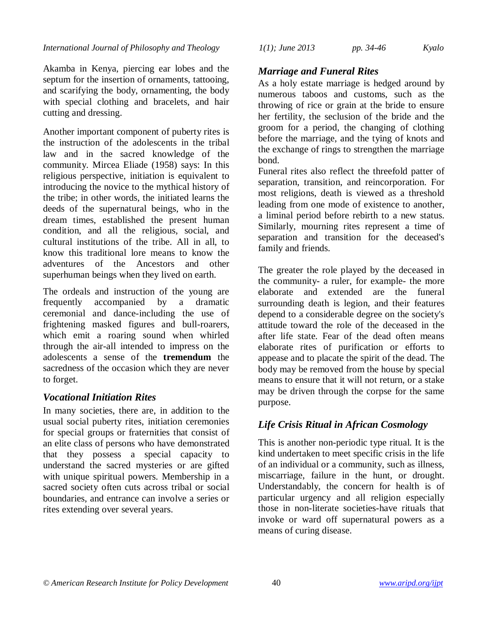Akamba in Kenya, piercing ear lobes and the septum for the insertion of ornaments, tattooing, and scarifying the body, ornamenting, the body with special clothing and bracelets, and hair cutting and dressing.

Another important component of puberty rites is the instruction of the adolescents in the tribal law and in the sacred knowledge of the community. Mircea Eliade (1958) says: In this religious perspective, initiation is equivalent to introducing the novice to the mythical history of the tribe; in other words, the initiated learns the deeds of the supernatural beings, who in the dream times, established the present human condition, and all the religious, social, and cultural institutions of the tribe. All in all, to know this traditional lore means to know the adventures of the Ancestors and other superhuman beings when they lived on earth.

The ordeals and instruction of the young are frequently accompanied by a dramatic ceremonial and dance-including the use of frightening masked figures and bull-roarers, which emit a roaring sound when whirled through the air-all intended to impress on the adolescents a sense of the **tremendum** the sacredness of the occasion which they are never to forget.

# *Vocational Initiation Rites*

In many societies, there are, in addition to the usual social puberty rites, initiation ceremonies for special groups or fraternities that consist of an elite class of persons who have demonstrated that they possess a special capacity to understand the sacred mysteries or are gifted with unique spiritual powers. Membership in a sacred society often cuts across tribal or social boundaries, and entrance can involve a series or rites extending over several years.

*International Journal of Philosophy and Theology 1(1); June 2013 pp. 34-46 Kyalo*

## *Marriage and Funeral Rites*

As a holy estate marriage is hedged around by numerous taboos and customs, such as the throwing of rice or grain at the bride to ensure her fertility, the seclusion of the bride and the groom for a period, the changing of clothing before the marriage, and the tying of knots and the exchange of rings to strengthen the marriage bond.

Funeral rites also reflect the threefold patter of separation, transition, and reincorporation. For most religions, death is viewed as a threshold leading from one mode of existence to another, a liminal period before rebirth to a new status. Similarly, mourning rites represent a time of separation and transition for the deceased's family and friends.

The greater the role played by the deceased in the community- a ruler, for example- the more elaborate and extended are the funeral surrounding death is legion, and their features depend to a considerable degree on the society's attitude toward the role of the deceased in the after life state. Fear of the dead often means elaborate rites of purification or efforts to appease and to placate the spirit of the dead. The body may be removed from the house by special means to ensure that it will not return, or a stake may be driven through the corpse for the same purpose.

# *Life Crisis Ritual in African Cosmology*

This is another non-periodic type ritual. It is the kind undertaken to meet specific crisis in the life of an individual or a community, such as illness, miscarriage, failure in the hunt, or drought. Understandably, the concern for health is of particular urgency and all religion especially those in non-literate societies-have rituals that invoke or ward off supernatural powers as a means of curing disease.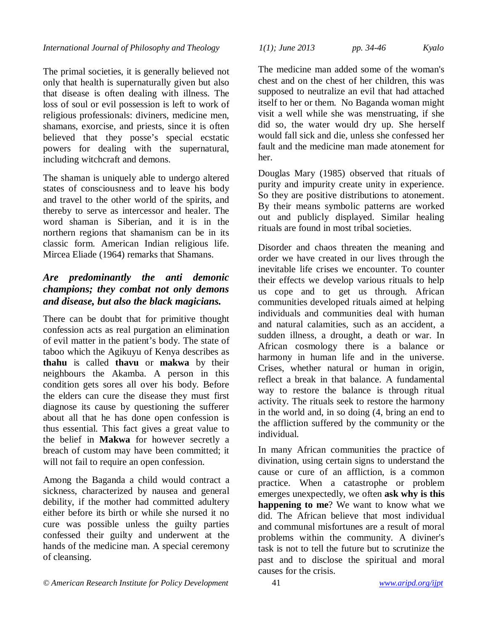The primal societies, it is generally believed not only that health is supernaturally given but also that disease is often dealing with illness. The loss of soul or evil possession is left to work of religious professionals: diviners, medicine men, shamans, exorcise, and priests, since it is often believed that they posse's special ecstatic powers for dealing with the supernatural, including witchcraft and demons.

The shaman is uniquely able to undergo altered states of consciousness and to leave his body and travel to the other world of the spirits, and thereby to serve as intercessor and healer. The word shaman is Siberian, and it is in the northern regions that shamanism can be in its classic form. American Indian religious life. Mircea Eliade (1964) remarks that Shamans.

# *Are predominantly the anti demonic champions; they combat not only demons and disease, but also the black magicians.*

There can be doubt that for primitive thought confession acts as real purgation an elimination of evil matter in the patient's body. The state of taboo which the Agikuyu of Kenya describes as **thahu** is called **thavu** or **makwa** by their neighbours the Akamba. A person in this condition gets sores all over his body. Before the elders can cure the disease they must first diagnose its cause by questioning the sufferer about all that he has done open confession is thus essential. This fact gives a great value to the belief in **Makwa** for however secretly a breach of custom may have been committed; it will not fail to require an open confession.

Among the Baganda a child would contract a sickness, characterized by nausea and general debility, if the mother had committed adultery either before its birth or while she nursed it no cure was possible unless the guilty parties confessed their guilty and underwent at the hands of the medicine man. A special ceremony of cleansing.

*International Journal of Philosophy and Theology 1(1); June 2013 pp. 34-46 Kyalo*

The medicine man added some of the woman's chest and on the chest of her children, this was supposed to neutralize an evil that had attached itself to her or them. No Baganda woman might visit a well while she was menstruating, if she did so, the water would dry up. She herself would fall sick and die, unless she confessed her fault and the medicine man made atonement for her.

Douglas Mary (1985) observed that rituals of purity and impurity create unity in experience. So they are positive distributions to atonement. By their means symbolic patterns are worked out and publicly displayed. Similar healing rituals are found in most tribal societies.

Disorder and chaos threaten the meaning and order we have created in our lives through the inevitable life crises we encounter. To counter their effects we develop various rituals to help us cope and to get us through. African communities developed rituals aimed at helping individuals and communities deal with human and natural calamities, such as an accident, a sudden illness, a drought, a death or war. In African cosmology there is a balance or harmony in human life and in the universe. Crises, whether natural or human in origin, reflect a break in that balance. A fundamental way to restore the balance is through ritual activity. The rituals seek to restore the harmony in the world and, in so doing (4, bring an end to the affliction suffered by the community or the individual.

In many African communities the practice of divination, using certain signs to understand the cause or cure of an affliction, is a common practice. When a catastrophe or problem emerges unexpectedly, we often **ask why is this happening to me**? We want to know what we did. The African believe that most individual and communal misfortunes are a result of moral problems within the community. A diviner's task is not to tell the future but to scrutinize the past and to disclose the spiritual and moral causes for the crisis.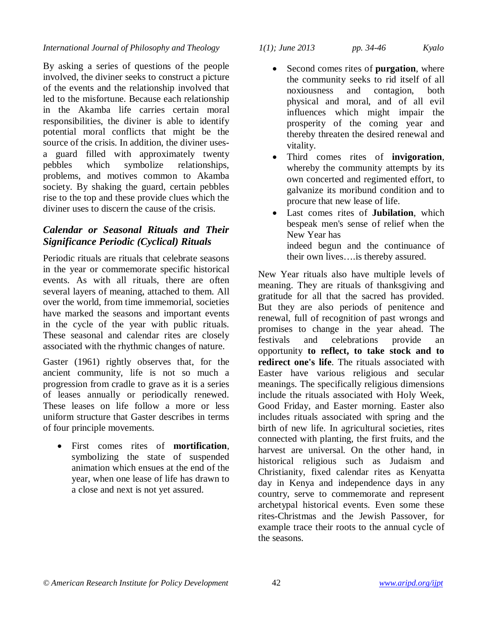#### *International Journal of Philosophy and Theology 1(1); June 2013 pp. 34-46 Kyalo*

By asking a series of questions of the people involved, the diviner seeks to construct a picture of the events and the relationship involved that led to the misfortune. Because each relationship in the Akamba life carries certain moral responsibilities, the diviner is able to identify potential moral conflicts that might be the source of the crisis. In addition, the diviner usesa guard filled with approximately twenty pebbles which symbolize relationships, problems, and motives common to Akamba society. By shaking the guard, certain pebbles rise to the top and these provide clues which the diviner uses to discern the cause of the crisis.

### *Calendar or Seasonal Rituals and Their Significance Periodic (Cyclical) Rituals*

Periodic rituals are rituals that celebrate seasons in the year or commemorate specific historical events. As with all rituals, there are often several layers of meaning, attached to them. All over the world, from time immemorial, societies have marked the seasons and important events in the cycle of the year with public rituals. These seasonal and calendar rites are closely associated with the rhythmic changes of nature.

Gaster (1961) rightly observes that, for the ancient community, life is not so much a progression from cradle to grave as it is a series of leases annually or periodically renewed. These leases on life follow a more or less uniform structure that Gaster describes in terms of four principle movements.

 First comes rites of **mortification**, symbolizing the state of suspended animation which ensues at the end of the year, when one lease of life has drawn to a close and next is not yet assured.

- Second comes rites of **purgation**, where the community seeks to rid itself of all noxiousness and contagion, both physical and moral, and of all evil influences which might impair the prosperity of the coming year and thereby threaten the desired renewal and vitality.
- Third comes rites of **invigoration**, whereby the community attempts by its own concerted and regimented effort, to galvanize its moribund condition and to procure that new lease of life.
- Last comes rites of **Jubilation**, which bespeak men's sense of relief when the New Year has indeed begun and the continuance of their own lives….is thereby assured.

New Year rituals also have multiple levels of meaning. They are rituals of thanksgiving and gratitude for all that the sacred has provided. But they are also periods of penitence and renewal, full of recognition of past wrongs and promises to change in the year ahead. The festivals and celebrations provide an opportunity **to reflect, to take stock and to redirect one's life**. The rituals associated with Easter have various religious and secular meanings. The specifically religious dimensions include the rituals associated with Holy Week, Good Friday, and Easter morning. Easter also includes rituals associated with spring and the birth of new life. In agricultural societies, rites connected with planting, the first fruits, and the harvest are universal. On the other hand, in historical religious such as Judaism and Christianity, fixed calendar rites as Kenyatta day in Kenya and independence days in any country, serve to commemorate and represent archetypal historical events. Even some these rites-Christmas and the Jewish Passover, for example trace their roots to the annual cycle of the seasons.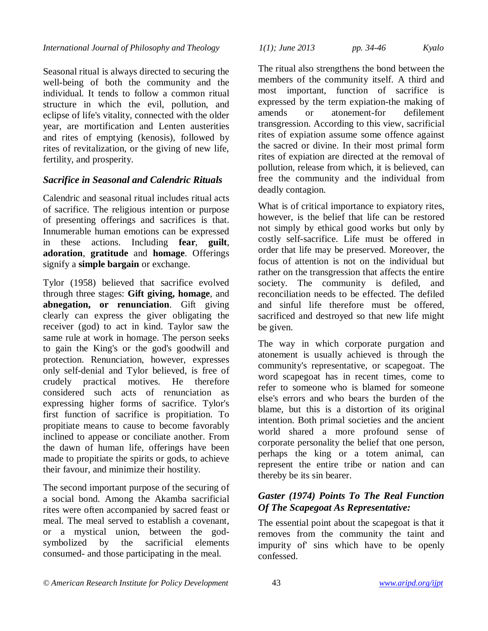Seasonal ritual is always directed to securing the well-being of both the community and the individual. It tends to follow a common ritual structure in which the evil, pollution, and eclipse of life's vitality, connected with the older year, are mortification and Lenten austerities and rites of emptying (kenosis), followed by rites of revitalization, or the giving of new life, fertility, and prosperity.

# *Sacrifice in Seasonal and Calendric Rituals*

Calendric and seasonal ritual includes ritual acts of sacrifice. The religious intention or purpose of presenting offerings and sacrifices is that. Innumerable human emotions can be expressed in these actions. Including **fear**, **guilt**, **adoration**, **gratitude** and **homage**. Offerings signify a **simple bargain** or exchange.

Tylor (1958) believed that sacrifice evolved through three stages: **Gift giving, homage**, and **abnegation, or renunciation**. Gift giving clearly can express the giver obligating the receiver (god) to act in kind. Taylor saw the same rule at work in homage. The person seeks to gain the King's or the god's goodwill and protection. Renunciation, however, expresses only self-denial and Tylor believed, is free of crudely practical motives. He therefore considered such acts of renunciation as expressing higher forms of sacrifice. Tylor's first function of sacrifice is propitiation. To propitiate means to cause to become favorably inclined to appease or conciliate another. From the dawn of human life, offerings have been made to propitiate the spirits or gods, to achieve their favour, and minimize their hostility.

The second important purpose of the securing of a social bond. Among the Akamba sacrificial rites were often accompanied by sacred feast or meal. The meal served to establish a covenant, or a mystical union, between the godsymbolized by the sacrificial elements consumed- and those participating in the meal.

*International Journal of Philosophy and Theology 1(1); June 2013 pp. 34-46 Kyalo*

The ritual also strengthens the bond between the members of the community itself. A third and most important, function of sacrifice is expressed by the term expiation-the making of amends or atonement-for defilement transgression. According to this view, sacrificial rites of expiation assume some offence against the sacred or divine. In their most primal form rites of expiation are directed at the removal of pollution, release from which, it is believed, can free the community and the individual from deadly contagion.

What is of critical importance to expiatory rites, however, is the belief that life can be restored not simply by ethical good works but only by costly self-sacrifice. Life must be offered in order that life may be preserved. Moreover, the focus of attention is not on the individual but rather on the transgression that affects the entire society. The community is defiled, and reconciliation needs to be effected. The defiled and sinful life therefore must be offered, sacrificed and destroyed so that new life might be given.

The way in which corporate purgation and atonement is usually achieved is through the community's representative, or scapegoat. The word scapegoat has in recent times, come to refer to someone who is blamed for someone else's errors and who bears the burden of the blame, but this is a distortion of its original intention. Both primal societies and the ancient world shared a more profound sense of corporate personality the belief that one person, perhaps the king or a totem animal, can represent the entire tribe or nation and can thereby be its sin bearer.

### *Gaster (1974) Points To The Real Function Of The Scapegoat As Representative:*

The essential point about the scapegoat is that it removes from the community the taint and impurity of' sins which have to be openly confessed.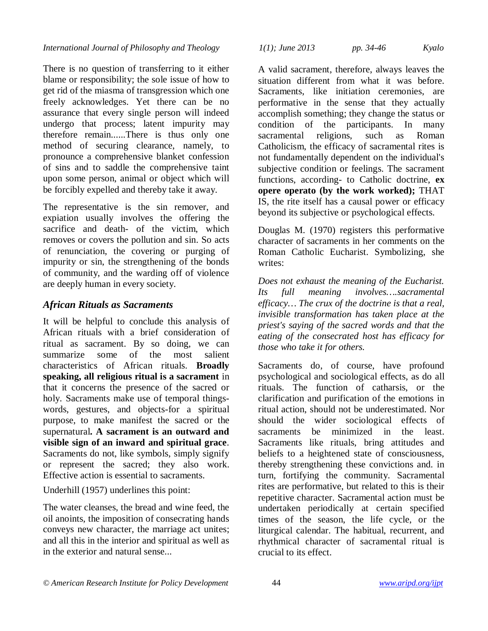There is no question of transferring to it either blame or responsibility; the sole issue of how to get rid of the miasma of transgression which one freely acknowledges. Yet there can be no assurance that every single person will indeed undergo that process; latent impurity may therefore remain......There is thus only one method of securing clearance, namely, to pronounce a comprehensive blanket confession of sins and to saddle the comprehensive taint upon some person, animal or object which will be forcibly expelled and thereby take it away.

The representative is the sin remover, and expiation usually involves the offering the sacrifice and death- of the victim, which removes or covers the pollution and sin. So acts of renunciation, the covering or purging of impurity or sin, the strengthening of the bonds of community, and the warding off of violence are deeply human in every society.

# *African Rituals as Sacraments*

It will be helpful to conclude this analysis of African rituals with a brief consideration of ritual as sacrament. By so doing, we can summarize some of the most salient characteristics of African rituals. **Broadly speaking, all religious ritual is a sacrament** in that it concerns the presence of the sacred or holy. Sacraments make use of temporal thingswords, gestures, and objects-for a spiritual purpose, to make manifest the sacred or the supernatural**. A sacrament is an outward and visible sign of an inward and spiritual grace**. Sacraments do not, like symbols, simply signify or represent the sacred; they also work. Effective action is essential to sacraments.

Underhill (1957) underlines this point:

The water cleanses, the bread and wine feed, the oil anoints, the imposition of consecrating hands conveys new character, the marriage act unites; and all this in the interior and spiritual as well as in the exterior and natural sense...

*International Journal of Philosophy and Theology 1(1); June 2013 pp. 34-46 Kyalo*

A valid sacrament, therefore, always leaves the situation different from what it was before. Sacraments, like initiation ceremonies, are performative in the sense that they actually accomplish something; they change the status or condition of the participants. In many sacramental religions, such as Roman Catholicism, the efficacy of sacramental rites is not fundamentally dependent on the individual's subjective condition or feelings. The sacrament functions, according- to Catholic doctrine, **ex opere operato (by the work worked);** THAT IS, the rite itself has a causal power or efficacy beyond its subjective or psychological effects.

Douglas M. (1970) registers this performative character of sacraments in her comments on the Roman Catholic Eucharist. Symbolizing, she writes:

*Does not exhaust the meaning of the Eucharist. Its full meaning involves….sacramental efficacy… The crux of the doctrine is that a real, invisible transformation has taken place at the priest's saying of the sacred words and that the eating of the consecrated host has efficacy for those who take it for others.* 

Sacraments do, of course, have profound psychological and sociological effects, as do all rituals. The function of catharsis, or the clarification and purification of the emotions in ritual action, should not be underestimated. Nor should the wider sociological effects of sacraments be minimized in the least. Sacraments like rituals, bring attitudes and beliefs to a heightened state of consciousness, thereby strengthening these convictions and. in turn, fortifying the community. Sacramental rites are performative, but related to this is their repetitive character. Sacramental action must be undertaken periodically at certain specified times of the season, the life cycle, or the liturgical calendar. The habitual, recurrent, and rhythmical character of sacramental ritual is crucial to its effect.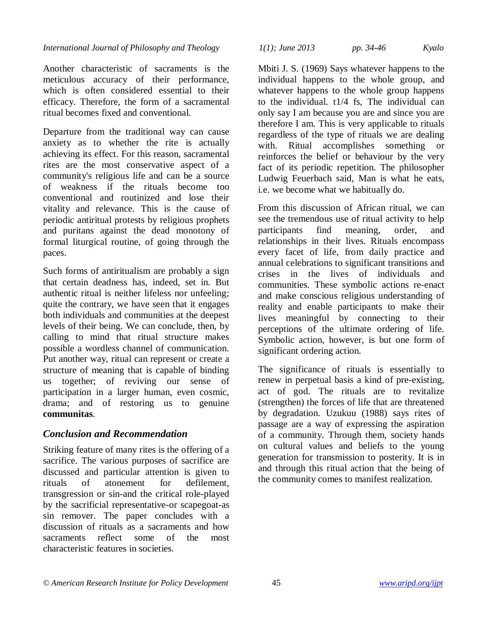Another characteristic of sacraments is the meticulous accuracy of their performance, which is often considered essential to their efficacy. Therefore, the form of a sacramental ritual becomes fixed and conventional.

Departure from the traditional way can cause anxiety as to whether the rite is actually achieving its effect. For this reason, sacramental rites are the most conservative aspect of a community's religious life and can be a source of weakness if the rituals become too conventional and routinized and lose their vitality and relevance. This is the cause of periodic antiritual protests by religious prophets and puritans against the dead monotony of formal liturgical routine, of going through the paces.

Such forms of antiritualism are probably a sign that certain deadness has, indeed, set in. But authentic ritual is neither lifeless nor unfeeling; quite the contrary, we have seen that it engages both individuals and communities at the deepest levels of their being. We can conclude, then, by calling to mind that ritual structure makes possible a wordless channel of communication. Put another way, ritual can represent or create a structure of meaning that is capable of binding us together; of reviving our sense of participation in a larger human, even cosmic, drama; and of restoring us to genuine **communitas**.

# *Conclusion and Recommendation*

Striking feature of many rites is the offering of a sacrifice. The various purposes of sacrifice are discussed and particular attention is given to rituals of atonement for defilement, transgression or sin-and the critical role-played by the sacrificial representative-or scapegoat-as sin remover. The paper concludes with a discussion of rituals as a sacraments and how sacraments reflect some of the most characteristic features in societies.

*International Journal of Philosophy and Theology 1(1); June 2013 pp. 34-46 Kyalo*

Mbiti J. S. (1969) Says whatever happens to the individual happens to the whole group, and whatever happens to the whole group happens to the individual. t1/4 fs, The individual can only say I am because you are and since you are therefore I am. This is very applicable to rituals regardless of the type of rituals we are dealing with. Ritual accomplishes something or reinforces the belief or behaviour by the very fact of its periodic repetition. The philosopher Ludwig Feuerbach said, Man is what he eats, i.e. we become what we habitually do.

From this discussion of African ritual, we can see the tremendous use of ritual activity to help participants find meaning, order, and relationships in their lives. Rituals encompass every facet of life, from daily practice and annual celebrations to significant transitions and crises in the lives of individuals and communities. These symbolic actions re-enact and make conscious religious understanding of reality and enable participants to make their lives meaningful by connecting to their perceptions of the ultimate ordering of life. Symbolic action, however, is but one form of significant ordering action.

The significance of rituals is essentially to renew in perpetual basis a kind of pre-existing, act of god. The rituals are to revitalize (strengthen) the forces of life that are threatened by degradation. Uzukuu (1988) says rites of passage are a way of expressing the aspiration of a community. Through them, society hands on cultural values and beliefs to the young generation for transmission to posterity. It is in and through this ritual action that the being of the community comes to manifest realization.